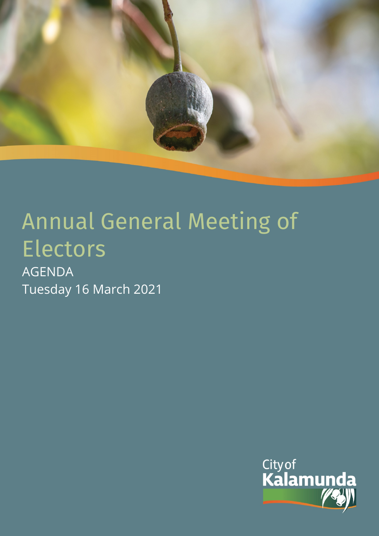

# Annual General Meeting of Electors

AGENDA Tuesday 16 March 2021

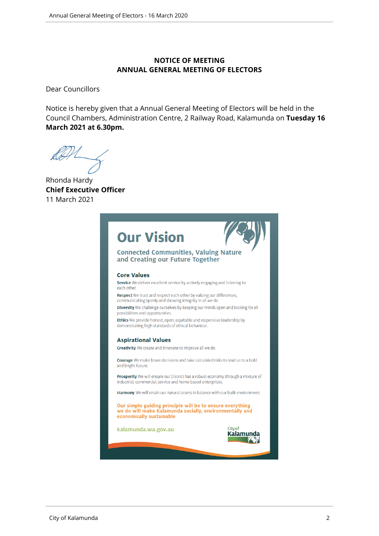#### **NOTICE OF MEETING ANNUAL GENERAL MEETING OF ELECTORS**

Dear Councillors

Notice is hereby given that a Annual General Meeting of Electors will be held in the Council Chambers, Administration Centre, 2 Railway Road, Kalamunda on **Tuesday 16 March 2021 at 6.30pm.**

Rhonda Hardy **Chief Executive Officer** 11 March 2021

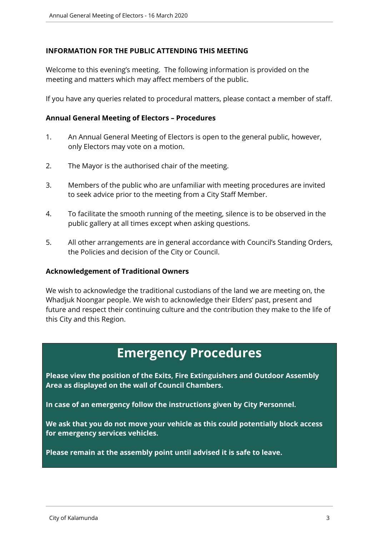### **INFORMATION FOR THE PUBLIC ATTENDING THIS MEETING**

Welcome to this evening's meeting. The following information is provided on the meeting and matters which may affect members of the public.

If you have any queries related to procedural matters, please contact a member of staff.

#### **Annual General Meeting of Electors – Procedures**

- 1. An Annual General Meeting of Electors is open to the general public, however, only Electors may vote on a motion.
- 2. The Mayor is the authorised chair of the meeting.
- 3. Members of the public who are unfamiliar with meeting procedures are invited to seek advice prior to the meeting from a City Staff Member.
- 4. To facilitate the smooth running of the meeting, silence is to be observed in the public gallery at all times except when asking questions.
- 5. All other arrangements are in general accordance with Council's Standing Orders, the Policies and decision of the City or Council.

#### **Acknowledgement of Traditional Owners**

We wish to acknowledge the traditional custodians of the land we are meeting on, the Whadjuk Noongar people. We wish to acknowledge their Elders' past, present and future and respect their continuing culture and the contribution they make to the life of this City and this Region.

# **Emergency Procedures**

**Please view the position of the Exits, Fire Extinguishers and Outdoor Assembly Area as displayed on the wall of Council Chambers.**

**In case of an emergency follow the instructions given by City Personnel.** 

**We ask that you do not move your vehicle as this could potentially block access for emergency services vehicles.** 

**Please remain at the assembly point until advised it is safe to leave.**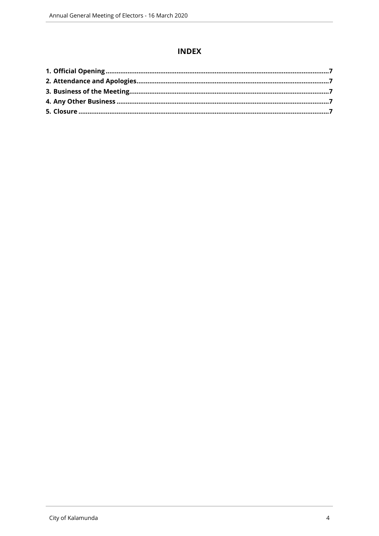# **INDEX**